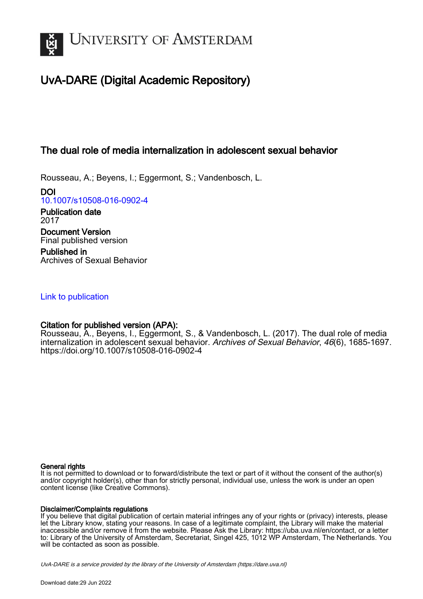

# UvA-DARE (Digital Academic Repository)

## The dual role of media internalization in adolescent sexual behavior

Rousseau, A.; Beyens, I.; Eggermont, S.; Vandenbosch, L.

DOI [10.1007/s10508-016-0902-4](https://doi.org/10.1007/s10508-016-0902-4)

Publication date 2017 Document Version Final published version

Published in Archives of Sexual Behavior

## [Link to publication](https://dare.uva.nl/personal/pure/en/publications/the-dual-role-of-media-internalization-in-adolescent-sexual-behavior(0c24601e-291e-4f94-8712-c4290281fc4c).html)

## Citation for published version (APA):

Rousseau, A., Beyens, I., Eggermont, S., & Vandenbosch, L. (2017). The dual role of media internalization in adolescent sexual behavior. Archives of Sexual Behavior, 46(6), 1685-1697. <https://doi.org/10.1007/s10508-016-0902-4>

## General rights

It is not permitted to download or to forward/distribute the text or part of it without the consent of the author(s) and/or copyright holder(s), other than for strictly personal, individual use, unless the work is under an open content license (like Creative Commons).

## Disclaimer/Complaints regulations

If you believe that digital publication of certain material infringes any of your rights or (privacy) interests, please let the Library know, stating your reasons. In case of a legitimate complaint, the Library will make the material inaccessible and/or remove it from the website. Please Ask the Library: https://uba.uva.nl/en/contact, or a letter to: Library of the University of Amsterdam, Secretariat, Singel 425, 1012 WP Amsterdam, The Netherlands. You will be contacted as soon as possible.

UvA-DARE is a service provided by the library of the University of Amsterdam (http*s*://dare.uva.nl)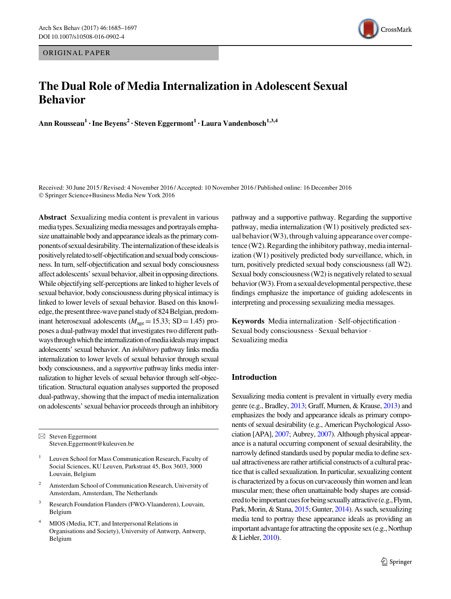ORIGINAL PAPER

# The Dual Role of Media Internalization in Adolescent Sexual Behavior

Ann Rousseau<sup>1</sup> · Ine Beyens<sup>2</sup> · Steven Eggermont<sup>1</sup> · Laura Vandenbosch<sup>1,3,4</sup>

Received: 30 June 2015 / Revised: 4 November 2016 / Accepted: 10 November 2016 / Published online: 16 December 2016 © Springer Science+Business Media New York 2016

Abstract Sexualizing media content is prevalent in various mediatypes. Sexualizing media messages and portrayals emphasize unattainable body and appearance ideals as the primary components of sexual desirability. The internalization of these ideals is positively relatedto self-objectificationand sexual bodyconsciousness. In turn, self-objectification and sexual body consciousness affect adolescents' sexual behavior, albeit in opposing directions. While objectifying self-perceptions are linked to higher levels of sexual behavior, body consciousness during physical intimacy is linked to lower levels of sexual behavior. Based on this knowledge, the present three-wave panel study of 824 Belgian, predominant heterosexual adolescents ( $M_{\text{age}}=15.33$ ; SD = 1.45) proposes a dual-pathway model that investigates two different pathways through which the internalization of media ideals may impact adolescents' sexual behavior. An inhibitory pathway links media internalization to lower levels of sexual behavior through sexual body consciousness, and a supportive pathway links media internalization to higher levels of sexual behavior through self-objectification. Structural equation analyses supported the proposed dual-pathway, showing that the impact of media internalization on adolescents' sexual behavior proceeds through an inhibitory

 $\boxtimes$  Steven Eggermont Steven.Eggermont@kuleuven.be

- <sup>1</sup> Leuven School for Mass Communication Research, Faculty of Social Sciences, KU Leuven, Parkstraat 45, Box 3603, 3000 Louvain, Belgium
- <sup>2</sup> Amsterdam School of Communication Research, University of Amsterdam, Amsterdam, The Netherlands
- <sup>3</sup> Research Foundation Flanders (FWO-Vlaanderen), Louvain, Belgium
- MIOS (Media, ICT, and Interpersonal Relations in Organisations and Society), University of Antwerp, Antwerp, Belgium

pathway and a supportive pathway. Regarding the supportive pathway, media internalization (W1) positively predicted sexual behavior (W3), through valuing appearance over competence  $(W2)$ . Regarding the inhibitory pathway, media internalization (W1) positively predicted body surveillance, which, in turn, positively predicted sexual body consciousness (all W2). Sexual body consciousness (W2) is negatively related to sexual behavior (W3). From a sexual developmental perspective, these findings emphasize the importance of guiding adolescents in interpreting and processing sexualizing media messages.

Keywords Media internalization - Self-objectification - Sexual body consciousness - Sexual behavior - Sexualizing media

## Introduction

Sexualizing media content is prevalent in virtually every media genre (e.g., Bradley, [2013;](#page-11-0) Graff, Murnen, & Krause, [2013](#page-12-0)) and emphasizes the body and appearance ideals as primary components of sexual desirability (e.g., American Psychological Association [APA], [2007;](#page-11-0) Aubrey, [2007\)](#page-11-0). Although physical appearance is a natural occurring component of sexual desirability, the narrowly defined standards used by popular media to define sexual attractiveness are rather artificial constructs of a cultural practice that is called sexualization. In particular, sexualizing content is characterized by a focus on curvaceously thin women and lean muscular men; these often unattainable body shapes are considered to be important cues for being sexually attractive (e.g., Flynn, Park, Morin, & Stana, [2015;](#page-11-0) Gunter, [2014](#page-12-0)). As such, sexualizing media tend to portray these appearance ideals as providing an important advantage for attracting the opposite sex (e.g., Northup & Liebler, [2010\)](#page-12-0).

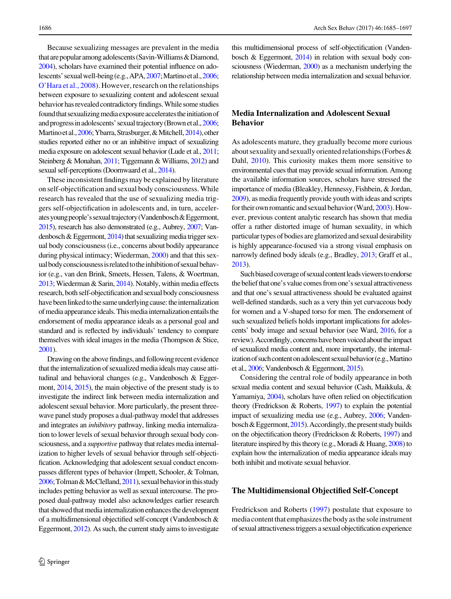Because sexualizing messages are prevalent in the media that are popular among adolescents (Savin-Williams & Diamond, [2004\)](#page-12-0), scholars have examined their potential influence on adolescents' sexualwell-being (e.g.,APA,[2007;](#page-11-0)Martinoetal.,[2006](#page-12-0); [O'Hara et al., 2008\)](#page-12-0). However, research on the relationships between exposure to sexualizing content and adolescent sexual behavior has revealed contradictory findings.While some studies found that sexualizing media exposure accelerates the initiation of and progress in adolescents' sexual trajectory (Brown et al., [2006](#page-11-0); Martino et al., [2006](#page-12-0); Ybarra, Strasburger, & Mitchell, [2014](#page-13-0)), other studies reported either no or an inhibitive impact of sexualizing media exposure on adolescent sexual behavior (Lude et al., [2011](#page-12-0); Steinberg & Monahan, [2011](#page-12-0); Tiggemann & Williams, [2012](#page-13-0)) and sexual self-perceptions (Doornwaard et al., [2014](#page-11-0)).

These inconsistent findings may be explained by literature on self-objectification and sexual body consciousness.While research has revealed that the use of sexualizing media triggers self-objectification in adolescents and, in turn, accelerates young people's sexual trajectory (Vandenbosch & Eggermont, [2015](#page-13-0)), research has also demonstrated (e.g., Aubrey, [2007](#page-11-0); Vandenbosch & Eggermont, [2014](#page-13-0)) that sexualizing media trigger sexual body consciousness (i.e., concerns about bodily appearance during physical intimacy; Wiederman, [2000](#page-13-0)) and that this sexual body consciousness is related to the inhibition of sexual behavior (e.g., van den Brink, Smeets, Hessen, Talens, & Woertman, [2013;](#page-13-0) Wiederman & Sarin, [2014](#page-13-0)). Notably, within media effects research, both self-objectification and sexual body consciousness have been linked to the same underlying cause: the internalization of media appearance ideals. This media internalization entails the endorsement of media appearance ideals as a personal goal and standard and is reflected by individuals' tendency to compare themselves with ideal images in the media (Thompson & Stice, [2001\)](#page-13-0).

Drawing onthe above findings, and following recent evidence that the internalization of sexualized media ideals may cause attitudinal and behavioral changes (e.g., Vandenbosch & Eggermont, [2014,](#page-13-0) [2015](#page-13-0)), the main objective of the present study is to investigate the indirect link between media internalization and adolescent sexual behavior. More particularly, the present threewave panel study proposes a dual-pathway model that addresses and integrates an inhibitory pathway, linking media internalization to lower levels of sexual behavior through sexual body consciousness, and a supportive pathway that relates media internalization to higher levels of sexual behavior through self-objectification. Acknowledging that adolescent sexual conduct encompasses different types of behavior (Impett, Schooler, & Tolman, [2006;](#page-12-0) Tolman & McClelland, [2011\)](#page-13-0), sexual behavior in this study includes petting behavior as well as sexual intercourse. The proposed dual-pathway model also acknowledges earlier research that showed that media internalization enhances the development of a multidimensional objectified self-concept (Vandenbosch & Eggermont, [2012\)](#page-13-0). As such, the current study aims to investigate

this multidimensional process of self-objectification (Vandenbosch & Eggermont, [2014\)](#page-13-0) in relation with sexual body consciousness (Wiederman, [2000](#page-13-0)) as a mechanism underlying the relationship between media internalization and sexual behavior.

## Media Internalization and Adolescent Sexual Behavior

As adolescents mature, they gradually become more curious about sexuality and sexually oriented relationships (Forbes & Dahl, [2010\)](#page-11-0). This curiosity makes them more sensitive to environmental cues that may provide sexual information. Among the available information sources, scholars have stressed the importance of media (Bleakley, Hennessy, Fishbein, & Jordan, [2009](#page-11-0)), as media frequently provide youth with ideas and scripts fortheir own romantic and sexual behavior (Ward, [2003](#page-13-0)). However, previous content analytic research has shown that media offer a rather distorted image of human sexuality, in which particular types of bodies are glamorized and sexual desirability is highly appearance-focused via a strong visual emphasis on narrowly defined body ideals (e.g., Bradley, [2013](#page-11-0); Graff et al., [2013](#page-12-0)).

Such biased coverage of sexual content leads viewers to endorse the belief that one's value comes from one's sexual attractiveness and that one's sexual attractiveness should be evaluated against well-defined standards, such as a very thin yet curvaceous body for women and a V-shaped torso for men. The endorsement of such sexualized beliefs holds important implications for adolescents' body image and sexual behavior (see Ward, [2016,](#page-13-0) for a review). Accordingly, concerns have been voiced about the impact of sexualized media content and, more importantly, the internalization of such content on adolescent sexual behavior (e.g., Martino et al., [2006](#page-12-0); Vandenbosch & Eggermont, [2015\)](#page-13-0).

Considering the central role of bodily appearance in both sexual media content and sexual behavior (Cash, Maikkula, & Yamamiya, [2004](#page-11-0)), scholars have often relied on objectification theory (Fredrickson & Roberts, [1997\)](#page-12-0) to explain the potential impact of sexualizing media use (e.g., Aubrey, [2006](#page-11-0); Vandenbosch & Eggermont,  $2015$ ). Accordingly, the present study builds on the objectification theory (Fredrickson & Roberts, [1997](#page-12-0)) and literature inspired by this theory (e.g., Moradi & Huang, [2008\)](#page-12-0) to explain how the internalization of media appearance ideals may both inhibit and motivate sexual behavior.

#### The Multidimensional Objectified Self-Concept

Fredrickson and Roberts ([1997\)](#page-12-0) postulate that exposure to media content that emphasizes the body as the sole instrument of sexual attractivenesstriggers a sexual objectification experience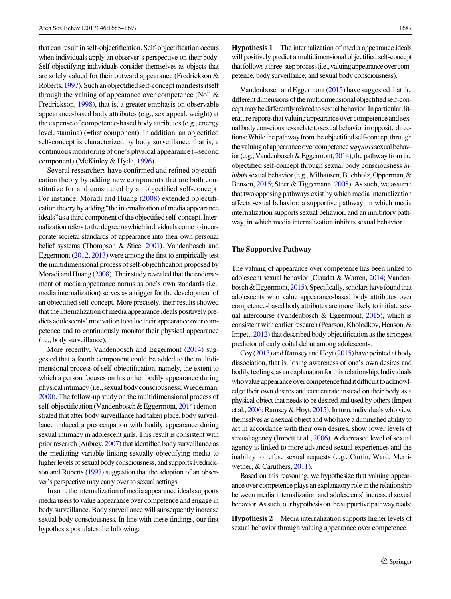that can result in self-objectification. Self-objectification occurs when individuals apply an observer's perspective on their body. Self-objectifying individuals consider themselves as objects that are solely valued for their outward appearance (Fredrickson & Roberts, [1997\)](#page-12-0). Such an objectified self-concept manifests itself through the valuing of appearance over competence (Noll  $\&$ Fredrickson, [1998](#page-12-0)), that is, a greater emphasis on observable appearance-based body attributes (e.g., sex appeal, weight) at the expense of competence-based body attributes (e.g., energy level, stamina) (=first component). In addition, an objectified self-concept is characterized by body surveillance, that is, a continuous monitoring of one's physical appearance (=second component) (McKinley & Hyde, [1996\)](#page-12-0).

Several researchers have confirmed and refined objectification theory by adding new components that are both constitutive for and constituted by an objectified self-concept. For instance, Moradi and Huang ([2008\)](#page-12-0) extended objectification theory by adding''the internalization of media appearance ideals" as a third component of the objectified self-concept. Internalization refers to the degree to which individuals come to incorporate societal standards of appearance into their own personal belief systems (Thompson & Stice, [2001](#page-13-0)). Vandenbosch and Eggermont [\(2012,](#page-13-0) [2013\)](#page-13-0) were among the first to empirically test the multidimensional process of self-objectification proposed by Moradi and Huang  $(2008)$  $(2008)$ . Their study revealed that the endorsement of media appearance norms as one's own standards (i.e., media internalization) serves as a trigger for the development of an objectified self-concept. More precisely, their results showed that the internalization of media appearance ideals positively predicts adolescents' motivation to value their appearance over competence and to continuously monitor their physical appearance (i.e., body surveillance).

More recently, Vandenbosch and Eggermont ([2014\)](#page-13-0) suggested that a fourth component could be added to the multidimensional process of self-objectification, namely, the extent to which a person focuses on his or her bodily appearance during physicalintimacy (i.e., sexual body consciousness;Wiederman, [2000](#page-13-0)). The follow-up study on the multidimensional process of self-objectification (Vandenbosch & Eggermont, [2014](#page-13-0)) demonstrated that after body surveillance had taken place, body surveillance induced a preoccupation with bodily appearance during sexual intimacy in adolescent girls. This result is consistent with prior research (Aubrey, [2007](#page-11-0)) that identified body surveillance as the mediating variable linking sexually objectifying media to higher levels of sexual body consciousness, and supports Fredrickson and Roberts [\(1997](#page-12-0)) suggestion that the adoption of an observer's perspective may carry over to sexual settings.

In sum, the internalization of media appearance ideals supports media users to value appearance over competence and engage in body surveillance. Body surveillance will subsequently increase sexual body consciousness. In line with these findings, our first hypothesis postulates the following:

Hypothesis 1 The internalization of media appearance ideals will positively predict a multidimensional objectified self-concept that follows a three-step process (i.e., valuing appearance over competence, body surveillance, and sexual body consciousness).

Vandenbosch and Eggermont  $(2015)$  $(2015)$  have suggested that the different dimensions of the multidimensional objectified self-concept may be differently related to sexual behavior. In particular, literature reports that valuing appearance over competence and sexual body consciousness relate to sexual behavior in opposite directions: While the pathway from the objectified self-concept through the valuing of appearance over competence *supports* sexual behavior (e.g., Vandenbosch & Eggermont,  $2014$ ), the pathway from the objectified self-concept through sexual body consciousness inhibits sexual behavior (e.g., Milhausen, Buchholz, Opperman, & Benson, [2015;](#page-12-0) Steer & Tiggemann, [2008\)](#page-12-0). As such, we assume that two opposing pathways exist by which media internalization affects sexual behavior: a supportive pathway, in which media internalization supports sexual behavior, and an inhibitory pathway, in which media internalization inhibits sexual behavior.

#### The Supportive Pathway

The valuing of appearance over competence has been linked to adolescent sexual behavior (Claudat & Warren, [2014](#page-11-0); Vandenbosch & Eggermont,  $2015$ ). Specifically, scholars have found that adolescents who value appearance-based body attributes over competence-based body attributes are more likely to initiate sexual intercourse (Vandenbosch & Eggermont, [2015](#page-13-0)), which is consistent with earlier research (Pearson, Kholodkov, Henson, & Impett, [2012](#page-12-0)) that described body objectification as the strongest predictor of early coital debut among adolescents.

Coy  $(2013)$  $(2013)$  $(2013)$  and Ramsey and Hoyt  $(2015)$  $(2015)$  $(2015)$  have pointed at body dissociation, that is, losing awareness of one's own desires and bodily feelings, as an explanation for this relationship. Individuals who value appearance over competence find it difficult to acknowledge their own desires and concentrate instead on their body as a physical object that needs to be desired and used by others (Impett et al., [2006](#page-12-0); Ramsey & Hoyt, [2015](#page-12-0)). In turn, individuals who view themselves as a sexual object and who have a diminished abilityto act in accordance with their own desires, show lower levels of sexual agency (Impett et al., [2006](#page-12-0)). A decreased level of sexual agency is linked to more advanced sexual experiences and the inability to refuse sexual requests (e.g., Curtin, Ward, Merriwether, & Caruthers, [2011](#page-11-0)).

Based on this reasoning, we hypothesize that valuing appearance over competence plays an explanatory role in the relationship between media internalization and adolescents' increased sexual behavior. As such, our hypothesis on the supportive pathway reads:

Hypothesis 2 Media internalization supports higher levels of sexual behavior through valuing appearance over competence.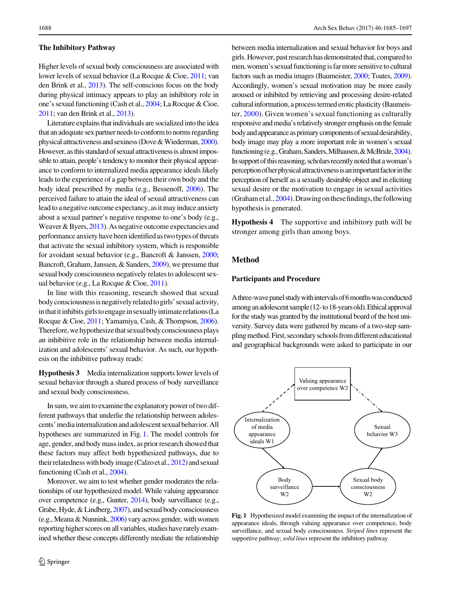#### The Inhibitory Pathway

Higher levels of sexual body consciousness are associated with lower levels of sexual behavior (La Rocque & Cioe, [2011](#page-12-0); van den Brink et al., [2013\)](#page-13-0). The self-conscious focus on the body during physical intimacy appears to play an inhibitory role in one's sexual functioning (Cash et al., [2004](#page-11-0); La Rocque & Cioe, [2011](#page-12-0); van den Brink et al., [2013\)](#page-13-0).

Literature explains that individuals are socialized into the idea that an adequate sex partner needs to conform to norms regarding physical attractiveness and sexiness (Dove&Wiederman,[2000\)](#page-11-0). However, as this standard of sexual attractiveness is almost impossible to attain, people's tendency to monitor their physical appearance to conform to internalized media appearance ideals likely leads to the experience of a gap between their own body and the body ideal prescribed by media (e.g., Bessenoff, [2006\)](#page-11-0). The perceived failure to attain the ideal of sexual attractiveness can lead to a negative outcome expectancy, as it may induce anxiety about a sexual partner's negative response to one's body (e.g., Weaver & Byers, [2013\)](#page-13-0). As negative outcome expectancies and performance anxiety have been identified as two types of threats that activate the sexual inhibitory system, which is responsible for avoidant sexual behavior (e.g., Bancroft & Janssen, [2000](#page-11-0); Bancroft, Graham, Janssen, & Sanders, [2009\)](#page-11-0), we presume that sexual body consciousness negatively relates to adolescent sexual behavior (e.g., La Rocque & Cioe, [2011](#page-12-0)).

In line with this reasoning, research showed that sexual bodyconsciousnessis negatively relatedto girls' sexualactivity, in that it inhibits girls to engage in sexually intimate relations (La Rocque & Cioe, [2011;](#page-12-0) Yamamiya, Cash, & Thompson, [2006\)](#page-13-0). Therefore, we hypothesize that sexual body consciousness plays an inhibitive role in the relationship between media internalization and adolescents' sexual behavior. As such, our hypothesis on the inhibitive pathway reads:

Hypothesis 3 Media internalization supports lower levels of sexual behavior through a shared process of body surveillance and sexual body consciousness.

In sum, we aim to examine the explanatory power of two different pathways that underlie the relationship between adolescents'mediainternalization and adolescent sexual behavior. All hypotheses are summarized in Fig. 1. The model controls for age, gender, and body mass index, as prior research showed that these factors may affect both hypothesized pathways, due to their relatedness with bodyimage (Calzo et al.,[2012\)](#page-11-0) and sexual functioning (Cash et al., [2004\)](#page-11-0).

Moreover, we aim to test whether gender moderates the relationships of our hypothesized model. While valuing appearance over competence (e.g., Gunter, [2014](#page-12-0)), body surveillance (e.g., Grabe, Hyde, & Lindberg, [2007](#page-12-0)), and sexual body consciousness (e.g., Meana & Nunnink, [2006](#page-12-0)) vary across gender, with women reporting higher scores on all variables, studies have rarely examined whether these concepts differently mediate the relationship between media internalization and sexual behavior for boys and girls. However, past research has demonstrated that, compared to men, women's sexual functioning is far more sensitive to cultural factors such as media images (Baumeister, [2000;](#page-11-0) Toates, [2009\)](#page-13-0). Accordingly, women's sexual motivation may be more easily aroused or inhibited by retrieving and processing desire-related cultural information, a process termed erotic plasticity (Baumeister, [2000](#page-11-0)). Given women's sexual functioning as culturally responsive and media's relatively stronger emphasis onthe female body and appearance as primary components of sexual desirability, body image may play a more important role in women's sexual functioning (e.g., Graham, Sanders, Milhausen, & McBride, [2004\)](#page-12-0). In support of this reasoning, scholars recently noted that a woman's perception of her physical attractiveness is an important factor in the perception of herself as a sexually desirable object and in eliciting sexual desire or the motivation to engage in sexual activities (Graham et al.,  $2004$ ). Drawing on these findings, the following hypothesis is generated.

Hypothesis 4 The supportive and inhibitory path will be stronger among girls than among boys.

## Method

#### Participants and Procedure

A three-wave panel study with intervals of 6 months was conducted amonganadolescentsample (12-to18-yearsold).Ethicalapproval for the study was granted by the institutional board of the host university. Survey data were gathered by means of a two-step samplingmethod. First, secondary schools from different educational and geographical backgrounds were asked to participate in our



Fig. 1 Hypothesized model examining the impact of the internalization of appearance ideals, through valuing appearance over competence, body surveillance, and sexual body consciousness. Striped lines represent the supportive pathway; solid lines represent the inhibitory pathway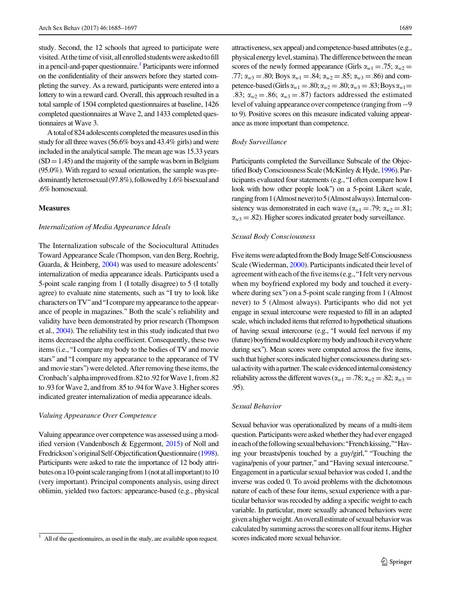study. Second, the 12 schools that agreed to participate were visited. At the time of visit, all enrolled students were asked to fill in a pencil-and-paper questionnaire.<sup>1</sup> Participants were informed on the confidentiality of their answers before they started completing the survey. As a reward, participants were entered into a lottery to win a reward card. Overall, this approach resulted in a total sample of 1504 completed questionnaires at baseline, 1426 completed questionnaires at Wave 2, and 1433 completed questionnaires at Wave 3.

A total of 824 adolescents completed the measures used in this study for all three waves (56.6% boys and 43.4% girls) and were included in the analytical sample. The mean age was 15.33 years  $(SD = 1.45)$  and the majority of the sample was born in Belgium (95.0%). With regard to sexual orientation, the sample was predominantly heterosexual (97.8%), followed by 1.6% bisexual and .6% homosexual.

#### Measures

#### Internalization of Media Appearance Ideals

The Internalization subscale of the Sociocultural Attitudes Toward Appearance Scale (Thompson, van den Berg, Roehrig, Guarda, & Heinberg, [2004\)](#page-13-0) was used to measure adolescents' internalization of media appearance ideals. Participants used a 5-point scale ranging from 1 (I totally disagree) to 5 (I totally agree) to evaluate nine statements, such as ''I try to look like characters on TV" and "I compare my appearance to the appearance of people in magazines.'' Both the scale's reliability and validity have been demonstrated by prior research (Thompson et al., [2004](#page-13-0)). The reliability test in this study indicated that two items decreased the alpha coefficient. Consequently, these two items (i.e.,''I compare my body to the bodies of TV and movie stars''and ''I compare my appearance to the appearance of TV and movie stars'') were deleted. After removing these items, the Cronbach's alphaimproved from.82to.92 forWave 1, from.82 to .93 for Wave 2, and from .85 to .94 for Wave 3. Higher scores indicated greater internalization of media appearance ideals.

#### Valuing Appearance Over Competence

Valuing appearance over competence was assessed using a modified version (Vandenbosch & Eggermont, [2015](#page-13-0)) of Noll and Fredrickson's original Self-Objectification Questionnaire [\(1998\)](#page-12-0). Participants were asked to rate the importance of 12 body attributes on a 10-point scale ranging from 1 (not at all important) to 10 (very important). Principal components analysis, using direct oblimin, yielded two factors: appearance-based (e.g., physical attractiveness, sex appeal) and competence-based attributes (e.g., physical energy level, stamina). The difference between the mean scores of the newly formed appearance (Girls  $\alpha_{w1} = .75$ ;  $\alpha_{w2} =$ .77;  $\alpha_{w3} = .80$ ; Boys  $\alpha_{w1} = .84$ ;  $\alpha_{w2} = .85$ ;  $\alpha_{w3} = .86$ ) and competence-based (Girls $\alpha_{w1} = .80; \alpha_{w2} = .80; \alpha_{w3} = .83;$  Boys  $\alpha_{w1} =$ .83;  $\alpha_{w2} = .86$ ;  $\alpha_{w3} = .87$ ) factors addressed the estimated level of valuing appearance over competence (ranging from-9 to 9). Positive scores on this measure indicated valuing appearance as more important than competence.

#### Body Surveillance

Participants completed the Surveillance Subscale of the Objec-tified Body Consciousness Scale (McKinley & Hyde, [1996\)](#page-12-0). Participants evaluated four statements (e.g.,''I often compare how I look with how other people look'') on a 5-point Likert scale, ranging from 1 (Almost never) to 5 (Almost always). Internal consistency was demonstrated in each wave  $(\alpha_{w1} = .79; \alpha_{w2} = .81;$  $\alpha_{w3} = .82$ ). Higher scores indicated greater body surveillance.

#### Sexual Body Consciousness

Five items were adapted from the Body Image Self-Consciousness Scale (Wiederman, [2000](#page-13-0)). Participants indicated their level of agreement with each of the five items (e.g., "I felt very nervous when my boyfriend explored my body and touched it everywhere during sex'') on a 5-point scale ranging from 1 (Almost never) to 5 (Almost always). Participants who did not yet engage in sexual intercourse were requested to fill in an adapted scale, which included items that referred to hypothetical situations of having sexual intercourse (e.g., ''I would feel nervous if my (future) boyfriendwould exploremy body andtouchiteverywhere during sex''). Mean scores were computed across the five items, such that higher scores indicated higher consciousness during sexual activity with a partner. The scale evidenced internal consistency reliability across the different waves ( $\alpha_{w1} = .78$ ;  $\alpha_{w2} = .82$ ;  $\alpha_{w3} =$ .95).

#### Sexual Behavior

Sexual behavior was operationalized by means of a multi-item question. Participants were asked whether they had ever engaged ineach of the following sexual behaviors: "French kissing," "Having your breasts/penis touched by a guy/girl," "Touching the vagina/penis of your partner," and "Having sexual intercourse." Engagement in a particular sexual behavior was coded 1, and the inverse was coded 0. To avoid problems with the dichotomous nature of each of these four items, sexual experience with a particular behavior was recoded by adding a specific weight to each variable. In particular, more sexually advanced behaviors were given a higherweight.An overall estimate of sexual behaviorwas calculated by summing acrossthe scores on all fouritems. Higher

All of the questionnaires, as used in the study, are available upon request. scores indicated more sexual behavior.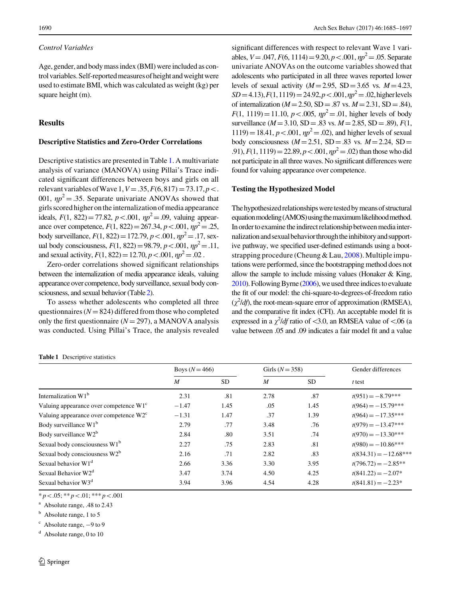#### Control Variables

Age, gender, and body mass index (BMI) were included as control variables. Self-reported measures of height and weight were used to estimate BMI, which was calculated as weight (kg) per square height (m).

#### Results

## Descriptive Statistics and Zero-Order Correlations

Descriptive statistics are presented in Table 1. A multivariate analysis of variance (MANOVA) using Pillai's Trace indicated significant differences between boys and girls on all relevant variables of Wave 1,  $V = .35, F(6, 817) = 73.17, p<$ . 001,  $\eta p^2 = 0.35$ . Separate univariate ANOVAs showed that girls scored higher ontheinternalization ofmedia appearance ideals,  $F(1, 822) = 77.82$ ,  $p < .001$ ,  $np^2 = .09$ , valuing appearance over competence,  $F(1, 822) = 267.34$ ,  $p < .001$ ,  $np^2 = .25$ , body surveillance,  $F(1, 822) = 172.79$ ,  $p < .001$ ,  $np^2 = .17$ , sexual body consciousness,  $F(1, 822) = 98.79$ ,  $p < .001$ ,  $np^2 = .11$ , and sexual activity,  $F(1, 822) = 12.70, p < .001, \eta p^2 = .02$ .

Zero-order correlations showed significant relationships between the internalization of media appearance ideals, valuing appearance over competence, body surveillance, sexual body consciousness, and sexual behavior (Table[2](#page-7-0)).

To assess whether adolescents who completed all three questionnaires ( $N = 824$ ) differed from those who completed only the first questionnaire  $(N = 297)$ , a MANOVA analysis was conducted. Using Pillai's Trace, the analysis revealed significant differences with respect to relevant Wave 1 variables,  $V = .047$ ,  $F(6, 1114) = 9.20$ ,  $p < .001$ ,  $np^2 = .05$ . Separate univariate ANOVAs on the outcome variables showed that adolescents who participated in all three waves reported lower levels of sexual activity  $(M=2.95, SD=3.65$  vs.  $M=4.23$ ,  $SD = 4.13$ ,  $F(1,1119) = 24.92$ ,  $p < .001$ ,  $np^2 = .02$ , higher levels of internalization ( $M = 2.50$ , SD = .87 vs.  $M = 2.31$ , SD = .84),  $F(1, 1119) = 11.10, p < .005, \eta p^2 = .01$ , higher levels of body surveillance ( $M=3.10$ , SD = .83 vs.  $M=2.85$ , SD = .89),  $F(1, 1)$  $1119$ ) = 18.41,  $p < .001$ ,  $np^2 = .02$ ), and higher levels of sexual body consciousness  $(M=2.51, SD=.83$  vs.  $M=2.24, SD=$ .91),  $F(1, 1119) = 22.89$ ,  $p < .001$ ,  $np^2 = .02$ ) than those who did not participate in all three waves. No significant differences were found for valuing appearance over competence.

#### Testing the Hypothesized Model

The hypothesized relationships were tested by means of structural equation modeling (AMOS) using the maximum likelihood method. In order to examine the indirect relationship between media internalization and sexual behavior through the inhibitory and supportive pathway, we specified user-defined estimands using a bootstrapping procedure (Cheung & Lau,  $2008$ ). Multiple imputations were performed, since the bootstrapping method does not allow the sample to include missing values (Honaker & King,  $2010$ ). Following Byrne ( $2006$ ), we used three indices to evaluate the fit of our model: the chi-square-to-degrees-of-freedom ratio  $(\chi^2/df)$ , the root-mean-square error of approximation (RMSEA), and the comparative fit index (CFI). An acceptable model fit is expressed in a  $\chi^2$ /df ratio of <3.0, an RMSEA value of <.06 (a value between .05 and .09 indicates a fair model fit and a value

|  | <b>Table 1</b> Descriptive statistics |  |
|--|---------------------------------------|--|
|--|---------------------------------------|--|

|                                                    | Boys $(N = 466)$ |           | Girls $(N = 358)$ |           | Gender differences      |  |
|----------------------------------------------------|------------------|-----------|-------------------|-----------|-------------------------|--|
|                                                    | M                | <b>SD</b> | $\boldsymbol{M}$  | <b>SD</b> | $t$ test                |  |
| Internalization W1 <sup>b</sup>                    | 2.31             | .81       | 2.78              | .87       | $t(951) = -8.79***$     |  |
| Valuing appearance over competence $W1^c$          | $-1.47$          | 1.45      | .05               | 1.45      | $t(964) = -15.79***$    |  |
| Valuing appearance over competence W2 <sup>c</sup> | $-1.31$          | 1.47      | .37               | 1.39      | $t(964) = -17.35***$    |  |
| Body surveillance $W1^b$                           | 2.79             | .77       | 3.48              | .76       | $t(979) = -13.47***$    |  |
| Body surveillance W2 <sup>b</sup>                  | 2.84             | .80       | 3.51              | .74       | $t(970) = -13.30***$    |  |
| Sexual body consciousness W1 <sup>b</sup>          | 2.27             | .75       | 2.83              | .81       | $t(980) = -10.86***$    |  |
| Sexual body consciousness W2 <sup>b</sup>          | 2.16             | .71       | 2.82              | .83       | $t(834.31) = -12.68***$ |  |
| Sexual behavior W1 <sup>d</sup>                    | 2.66             | 3.36      | 3.30              | 3.95      | $t(796.72) = -2.85**$   |  |
| Sexual Behavior W2 <sup>d</sup>                    | 3.47             | 3.74      | 4.50              | 4.25      | $t(841.22) = -2.07*$    |  |
| Sexual behavior W3 <sup>d</sup>                    | 3.94             | 3.96      | 4.54              | 4.28      | $t(841.81) = -2.23*$    |  |

 $* p < 0.05; *p < 0.01; *** p < 0.001$ 

<sup>a</sup> Absolute range, .48 to 2.43

 $<sup>b</sup>$  Absolute range, 1 to 5</sup>

Absolute range,  $-9$  to 9

 $d$  Absolute range, 0 to 10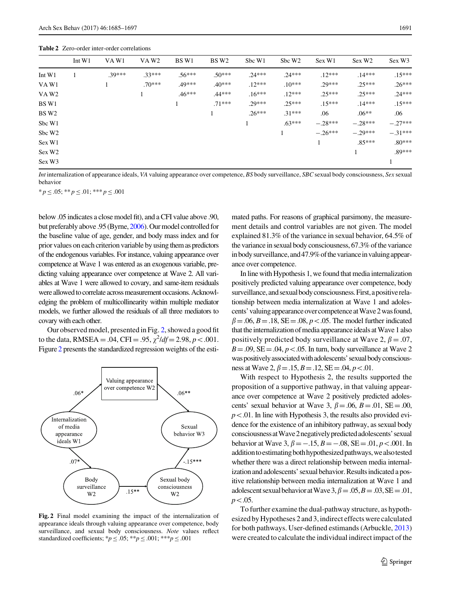<span id="page-7-0"></span>Table 2 Zero-order inter-order correlations

|                    | Int $W1$ | VAW1     | VAW <sub>2</sub> | BS W1    | BS W <sub>2</sub> | Sbc W1   | Sbc W <sub>2</sub> | Sex W1    | Sex W <sub>2</sub> | Sex W3    |
|--------------------|----------|----------|------------------|----------|-------------------|----------|--------------------|-----------|--------------------|-----------|
| Int W1             |          | $.39***$ | $.33***$         | $.56***$ | $.50***$          | $.24***$ | $.24***$           | $.12***$  | $.14***$           | $.15***$  |
| VAW1               |          |          | $.70***$         | .49***   | $.40***$          | $.12***$ | $.10***$           | $29***$   | $.25***$           | $.26***$  |
| VAW <sub>2</sub>   |          |          |                  | $.46***$ | $.44***$          | $.16***$ | $.12***$           | $25***$   | $25***$            | $.24***$  |
| BS W1              |          |          |                  |          | $.71***$          | $29***$  | $25***$            | $.15***$  | $14***$            | $.15***$  |
| BS W <sub>2</sub>  |          |          |                  |          |                   | $.26***$ | $.31***$           | .06       | $.06**$            | .06       |
| Sbc W1             |          |          |                  |          |                   |          | $.63***$           | $-.28***$ | $-.28***$          | $-.27***$ |
| Sbc W <sub>2</sub> |          |          |                  |          |                   |          |                    | $-.26***$ | $-.29***$          | $-.31***$ |
| Sex W1             |          |          |                  |          |                   |          |                    |           | $.85***$           | $.80***$  |
| Sex W <sub>2</sub> |          |          |                  |          |                   |          |                    |           |                    | $.89***$  |
| Sex W <sub>3</sub> |          |          |                  |          |                   |          |                    |           |                    |           |

Int internalization of appearance ideals, VA valuing appearance over competence, BS body surveillance, SBC sexual body consciousness, Sex sexual behavior

 ${}^*p \leq .05;$   ${}^{**}p \leq .01;$   ${}^{***}p \leq .001$ 

below .05 indicates a close model fit), and a CFI value above .90, but preferably above .95 (Byrne, [2006](#page-11-0)). Our model controlled for the baseline value of age, gender, and body mass index and for prior values on each criterion variable by using them as predictors of the endogenous variables. For instance, valuing appearance over competence at Wave 1 was entered as an exogenous variable, predicting valuing appearance over competence at Wave 2. All variables at Wave 1 were allowed to covary, and same-item residuals were allowed to correlate across measurement occasions. Acknowledging the problem of multicollinearity within multiple mediator models, we further allowed the residuals of all three mediators to covary with each other.

Our observed model, presented in Fig. 2, showed a good fit to the data, RMSEA = .04, CFI = .95,  $\chi^2$ /df = 2.98, p < .001. Figure 2 presents the standardized regression weights of the esti-



Fig. 2 Final model examining the impact of the internalization of appearance ideals through valuing appearance over competence, body surveillance, and sexual body consciousness. Note values reflect standardized coefficients; \* $p \le 0.05$ ; \*\*p  $\le 0.01$ ; \*\*\*p  $\le 0.01$ 

mated paths. For reasons of graphical parsimony, the measurement details and control variables are not given. The model explained 81.3% of the variance in sexual behavior, 64.5% of the variance in sexual body consciousness,  $67.3\%$  of the variance in body surveillance, and 47.9% of the variance in valuing appearance over competence.

In line with Hypothesis 1, we found that media internalization positively predicted valuing appearance over competence, body surveillance, and sexual body consciousness. First, a positive relationship between media internalization at Wave 1 and adolescents' valuingappearance overcompetenceatWave 2was found,  $\beta$  = .06, B = .18, SE = .08, p < .05. The model further indicated that the internalization of media appearance ideals at Wave 1 also positively predicted body surveillance at Wave 2,  $\beta = .07$ ,  $B = .09$ ,  $SE = .04$ ,  $p < .05$ . In turn, body surveillance at Wave 2 was positively associated with adolescents' sexual body consciousness at Wave 2,  $\beta = .15$ ,  $B = .12$ ,  $SE = .04$ ,  $p < .01$ .

With respect to Hypothesis 2, the results supported the proposition of a supportive pathway, in that valuing appearance over competence at Wave 2 positively predicted adolescents' sexual behavior at Wave 3,  $\beta = .06$ ,  $B = .01$ ,  $SE = .00$ ,  $p<.01$ . In line with Hypothesis 3, the results also provided evidence for the existence of an inhibitory pathway, as sexual body consciousnessatWave2negativelypredictedadolescents'sexual behavior at Wave 3,  $\beta = -.15$ ,  $B = -.08$ ,  $SE = .01$ ,  $p < .001$ . In addition to estimating both hypothesized pathways, we also tested whether there was a direct relationship between media internalization and adolescents' sexual behavior. Resultsindicated a positive relationship between media internalization at Wave 1 and adolescent sexual behavior at Wave  $3, \beta = .05, B = .03, SE = .01,$  $p\!<\!.05.$ 

To further examine the dual-pathway structure, as hypothesized by Hypotheses 2 and 3,indirect effects were calculated for both pathways. User-defined estimands (Arbuckle, [2013\)](#page-11-0) were created to calculate the individual indirect impact of the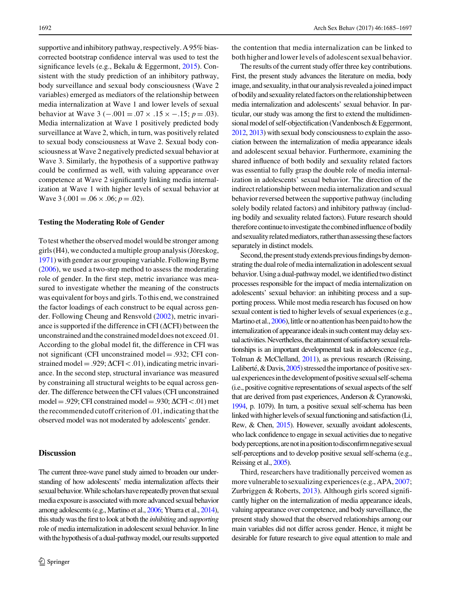supportive and inhibitory pathway, respectively. A 95% biascorrected bootstrap confidence interval was used to test the significance levels (e.g., Bekalu & Eggermont, [2015\)](#page-11-0). Consistent with the study prediction of an inhibitory pathway, body surveillance and sexual body consciousness (Wave 2 variables) emerged as mediators of the relationship between media internalization at Wave 1 and lower levels of sexual behavior at Wave 3 ( $-.001 = .07 \times .15 \times -.15; p = .03$ ). Media internalization at Wave 1 positively predicted body surveillance at Wave 2, which, in turn, was positively related to sexual body consciousness at Wave 2. Sexual body consciousness at Wave 2 negatively predicted sexual behavior at Wave 3. Similarly, the hypothesis of a supportive pathway could be confirmed as well, with valuing appearance over competence at Wave 2 significantly linking media internalization at Wave 1 with higher levels of sexual behavior at Wave 3 (.001 = .06  $\times$  .06; p = .02).

#### Testing the Moderating Role of Gender

To test whether the observed model would be stronger among girls (H4), we conducted a multiple group analysis (Jöreskog, [1971\)](#page-12-0) with gender as our grouping variable. Following Byrne [\(2006](#page-11-0)), we used a two-step method to assess the moderating role of gender. In the first step, metric invariance was measured to investigate whether the meaning of the constructs was equivalent for boys and girls. To this end, we constrained the factor loadings of each construct to be equal across gender. Following Cheung and Rensvold [\(2002](#page-11-0)), metric invariance is supported if the difference in CFI ( $\Delta$ CFI) between the unconstrained andthe constrained model does not exceed .01. According to the global model fit, the difference in CFI was not significant (CFI unconstrained model = .932; CFI constrained model = .929;  $\Delta$ CFI $<$ .01), indicating metric invariance. In the second step, structural invariance was measured by constraining all structural weights to be equal across gender. The difference between the CFI values (CFI unconstrained model = .929; CFI constrained model = .930;  $\Delta$ CFI $\lt$ .01) met the recommended cutoff criterion of .01, indicating that the observed model was not moderated by adolescents' gender.

#### **Discussion**

The current three-wave panel study aimed to broaden our understanding of how adolescents' media internalization affects their sexual behavior. While scholars have repeatedly proven that sexual media exposure is associated with more advanced sexual behavior among adolescents (e.g., Martino et al., [2006;](#page-12-0) Ybarra et al., [2014\)](#page-13-0), this study was the first to look at both the *inhibiting* and *supporting* role of media internalization in adolescent sexual behavior. In line with the hypothesis of a dual-pathway model, our results supported

the contention that media internalization can be linked to both higher andlowerlevels of adolescent sexual behavior.

The results of the current study offer three key contributions. First, the present study advances the literature on media, body image, and sexuality, in that our analysis revealed a joined impact of bodily and sexuality related factors onthe relationship between media internalization and adolescents' sexual behavior. In particular, our study was among the first to extend the multidimensional model of self-objectification (Vandenbosch & Eggermont, [2012,](#page-13-0) [2013\)](#page-13-0) with sexual body consciousness to explain the association between the internalization of media appearance ideals and adolescent sexual behavior. Furthermore, examining the shared influence of both bodily and sexuality related factors was essential to fully grasp the double role of media internalization in adolescents' sexual behavior. The direction of the indirect relationship between media internalization and sexual behavior reversed between the supportive pathway (including solely bodily related factors) and inhibitory pathway (including bodily and sexuality related factors). Future research should therefore continue to investigate the combined influence of bodily and sexuality related mediators, rather than assessing these factors separately in distinct models.

Second, the present study extends previous findings by demonstrating the dual role of media internalization in adolescent sexual behavior. Using a dual-pathway model, we identified two distinct processes responsible for the impact of media internalization on adolescents' sexual behavior: an inhibiting process and a supporting process. While most media research has focused on how sexual content is tied to higher levels of sexual experiences (e.g., Martino et al., [2006](#page-12-0)), little or no attention has been paid to how the internalization of appearance ideals in such content may delay sexual activities. Nevertheless, the attainment of satisfactory sexual relationships is an important developmental task in adolescence (e.g., Tolman & McClelland, [2011\)](#page-13-0), as previous research (Reissing, Laliberté,  $&$  Davis, [2005\)](#page-12-0) stressed the importance of positive sexualexperiencesinthedevelopmentofpositive sexualself-schema (i.e., positive cognitive representations of sexual aspects of the self that are derived from past experiences, Anderson & Cyranowski, [1994,](#page-11-0) p. 1079). In turn, a positive sexual self-schema has been linked with higher levels of sexual functioning and satisfaction (Li, Rew, & Chen, [2015](#page-12-0)). However, sexually avoidant adolescents, who lack confidence to engage in sexual activities due to negative body perceptions, are not in a position to disconfirm negative sexual self-perceptions and to develop positive sexual self-schema (e.g., Reissing et al., [2005\)](#page-12-0).

Third, researchers have traditionally perceived women as more vulnerable to sexualizing experiences (e.g., APA, [2007](#page-11-0); Zurbriggen & Roberts, [2013](#page-13-0)). Although girls scored significantly higher on the internalization of media appearance ideals, valuing appearance over competence, and body surveillance, the present study showed that the observed relationships among our main variables did not differ across gender. Hence, it might be desirable for future research to give equal attention to male and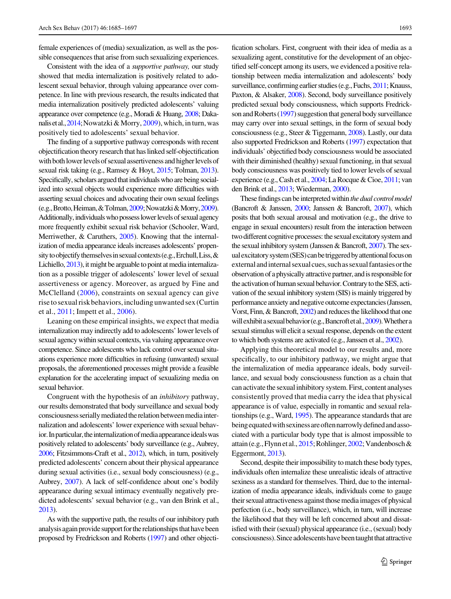female experiences of (media) sexualization, as well as the possible consequences that arise from such sexualizing experiences.

Consistent with the idea of a supportive pathway, our study showed that media internalization is positively related to adolescent sexual behavior, through valuing appearance over competence. In line with previous research, the results indicated that media internalization positively predicted adolescents' valuing appearance over competence (e.g., Moradi & Huang, [2008;](#page-12-0) Daka-nalis et al., [2014](#page-11-0); Nowatzki & Morry, [2009\)](#page-12-0), which, in turn, was positively tied to adolescents' sexual behavior.

The finding of a supportive pathway corresponds with recent objectification theory research that has linked self-objectification with both lower levels of sexual assertiveness and higher levels of sexual risk taking (e.g., Ramsey & Hoyt, [2015;](#page-12-0) Tolman, [2013\)](#page-13-0). Specifically, scholars argued that individuals who are being socialized into sexual objects would experience more difficulties with asserting sexual choices and advocating their own sexual feelings (e.g.,Brotto,Heiman,&Tolman,[2009;](#page-11-0)Nowatzki&Morry,[2009\)](#page-12-0). Additionally, individuals who possess lower levels of sexual agency more frequently exhibit sexual risk behavior (Schooler, Ward, Merriwether, & Caruthers, [2005\)](#page-12-0). Knowing that the internalization of media appearance ideals increases adolescents' propensity to objectify themselves in sexual contexts (e.g., Erchull, Liss, & Lichiello, [2013\)](#page-11-0), it might be arguable to point at media internalization as a possible trigger of adolescents' lower level of sexual assertiveness or agency. Moreover, as argued by Fine and McClelland [\(2006\)](#page-11-0), constraints on sexual agency can give riseto sexual risk behaviors,including unwanted sex (Curtin et al., [2011;](#page-11-0) Impett et al., [2006\)](#page-12-0).

Leaning on these empirical insights, we expect that media internalization may indirectly add to adolescents' lower levels of sexual agency within sexual contexts, via valuing appearance over competence. Since adolescents who lack control over sexual situations experience more difficulties in refusing (unwanted) sexual proposals, the aforementioned processes might provide a feasible explanation for the accelerating impact of sexualizing media on sexual behavior.

Congruent with the hypothesis of an inhibitory pathway, our results demonstrated that body surveillance and sexual body consciousness serially mediated the relation between media internalization and adolescents' lower experience with sexual behavior. In particular, the internalization of media appearance ideals was positively related to adolescents' body surveillance (e.g., Aubrey, [2006](#page-11-0); Fitzsimmons-Craft et al., [2012](#page-11-0)), which, in turn, positively predicted adolescents' concern about their physical appearance during sexual activities (i.e., sexual body consciousness) (e.g., Aubrey, [2007\)](#page-11-0). A lack of self-confidence about one's bodily appearance during sexual intimacy eventually negatively predicted adolescents' sexual behavior (e.g., van den Brink et al., [2013](#page-13-0)).

As with the supportive path, the results of our inhibitory path analysisagain provide support forthe relationshipsthat have been proposed by Fredrickson and Roberts [\(1997\)](#page-12-0) and other objecti-

fication scholars. First, congruent with their idea of media as a sexualizing agent, constitutive for the development of an objectified self-concept among its users, we evidenced a positive relationship between media internalization and adolescents' body surveillance, confirming earlier studies (e.g., Fuchs, [2011;](#page-12-0) Knauss, Paxton, & Alsaker, [2008](#page-12-0)). Second, body surveillance positively predicted sexual body consciousness, which supports Fredrick-son and Roberts [\(1997](#page-12-0)) suggestion that general body surveillance may carry over into sexual settings, in the form of sexual body consciousness (e.g., Steer & Tiggemann, [2008\)](#page-12-0). Lastly, our data also supported Fredrickson and Roberts [\(1997](#page-12-0)) expectation that individuals' objectified body consciousness would be associated with their diminished (healthy) sexual functioning, in that sexual body consciousness was positively tied to lower levels of sexual experience (e.g., Cash et al., [2004;](#page-11-0) La Rocque & Cioe, [2011](#page-12-0); van den Brink et al., [2013](#page-13-0); Wiederman, [2000](#page-13-0)).

These findings can be interpreted within the dual control model (Bancroft & Janssen, [2000;](#page-11-0) Janssen & Bancroft, [2007\)](#page-12-0), which posits that both sexual arousal and motivation (e.g., the drive to engage in sexual encounters) result from the interaction between two different cognitive processes: the sexual excitatory system and the sexual inhibitory system (Janssen & Bancroft, [2007](#page-12-0)). The sexual excitatory system (SES) can be triggered by attentional focus on external and internal sexual cues, such as sexual fantasies or the observation of a physically attractive partner, andis responsible for the activation of human sexual behavior. Contrary to the SES, activation of the sexual inhibitory system (SIS) is mainly triggered by performance anxiety and negative outcome expectancies (Janssen, Vorst, Finn, & Bancroft, [2002](#page-12-0)) and reduces the likelihood that one will exhibit a sexual behavior (e.g., Bancroft et al., [2009\)](#page-11-0). Whether a sexual stimulus will elicit a sexual response, depends on the extent to which both systems are activated (e.g., Janssen et al., [2002](#page-12-0)).

Applying this theoretical model to our results and, more specifically, to our inhibitory pathway, we might argue that the internalization of media appearance ideals, body surveillance, and sexual body consciousness function as a chain that can activate the sexual inhibitory system. First, content analyses consistently proved that media carry the idea that physical appearance is of value, especially in romantic and sexual relationships (e.g., Ward, [1995](#page-13-0)). The appearance standards that are being equated with sexiness are often narrowly defined and associated with a particular body type that is almost impossible to attain (e.g., Flynn et al., [2015;](#page-11-0) Rohlinger, [2002;](#page-12-0) Vandenbosch & Eggermont, [2013\)](#page-13-0).

Second, despite their impossibility to match these body types, individuals often internalize these unrealistic ideals of attractive sexiness as a standard for themselves. Third, due to the internalization of media appearance ideals, individuals come to gauge their sexual attractiveness against those media images of physical perfection (i.e., body surveillance), which, in turn, will increase the likelihood that they will be left concerned about and dissatisfied with their (sexual) physical appearance (i.e., (sexual) body consciousness). Since adolescents have been taught that attractive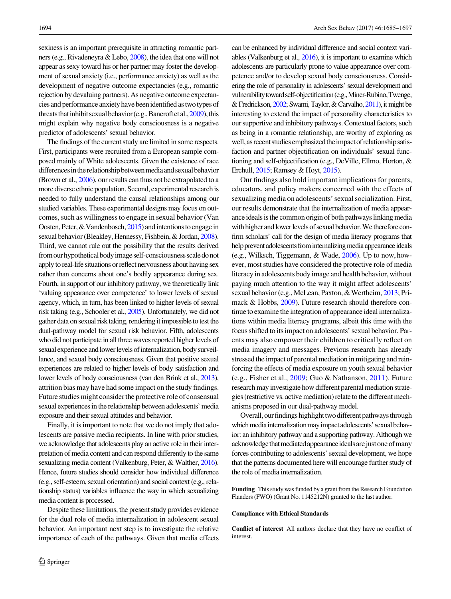sexiness is an important prerequisite in attracting romantic partners (e.g., Rivadeneyra & Lebo, [2008\)](#page-12-0), the idea that one will not appear as sexy toward his or her partner may foster the development of sexual anxiety (i.e., performance anxiety) as well as the development of negative outcome expectancies (e.g., romantic rejection by devaluing partners). As negative outcome expectancies and performance anxiety have beenidentified astwotypes of threats that inhibit sexual behavior (e.g., Bancroft et al.,  $2009$ ), this might explain why negative body consciousness is a negative predictor of adolescents' sexual behavior.

The findings of the current study are limited in some respects. First, participants were recruited from a European sample composed mainly of White adolescents. Given the existence of race differences in the relationship between media and sexual behavior (Brown et al., [2006](#page-11-0)), our results can thus not be extrapolated to a more diverse ethnic population. Second, experimental researchis needed to fully understand the causal relationships among our studied variables. These experimental designs may focus on outcomes, such as willingness to engage in sexual behavior (Van Oosten, Peter,  $&$  Vandenbosch, [2015\)](#page-13-0) and intentions to engage in sexual behavior (Bleakley, Hennessy, Fishbein, & Jordan, [2008\)](#page-11-0). Third, we cannot rule out the possibility that the results derived from ourhypothetical bodyimage self-consciousness scaledo not apply to real-life situations or reflect nervousness about having sex rather than concerns about one's bodily appearance during sex. Fourth, in support of our inhibitory pathway, we theoretically link 'valuing appearance over competence' to lower levels of sexual agency, which, in turn, has been linked to higher levels of sexual risk taking (e.g., Schooler et al., [2005](#page-12-0)). Unfortunately, we did not gather data on sexual risk taking, rendering it impossible to test the dual-pathway model for sexual risk behavior. Fifth, adolescents who did not participate in all three waves reported higher levels of sexual experience and lower levels of internalization, body surveillance, and sexual body consciousness. Given that positive sexual experiences are related to higher levels of body satisfaction and lower levels of body consciousness (van den Brink et al., [2013\)](#page-13-0), attrition bias may have had some impact on the study findings. Future studies might considerthe protective role of consensual sexual experiences in the relationship between adolescents' media exposure and their sexual attitudes and behavior.

Finally, it is important to note that we do not imply that adolescents are passive media recipients. In line with prior studies, we acknowledge that adolescents play an active role in their interpretation of media content and can respond differently to the same sexualizing media content (Valkenburg, Peter, & Walther, [2016\)](#page-13-0). Hence, future studies should consider how individual difference (e.g., self-esteem, sexual orientation) and social context (e.g., relationship status) variables influence the way in which sexualizing media content is processed.

Despite these limitations, the present study provides evidence for the dual role of media internalization in adolescent sexual behavior. An important next step is to investigate the relative importance of each of the pathways. Given that media effects can be enhanced by individual difference and social context variables (Valkenburg et al., [2016\)](#page-13-0), it is important to examine which adolescents are particularly prone to value appearance over competence and/or to develop sexual body consciousness. Considering the role of personality in adolescents' sexual development and vulnerability toward self-objectification (e.g., Miner-Rubino, Twenge, & Fredrickson, [2002;](#page-12-0) Swami, Taylor, & Carvalho, [2011](#page-12-0)), it might be interesting to extend the impact of personality characteristics to our supportive and inhibitory pathways. Contextual factors, such as being in a romantic relationship, are worthy of exploring as well, as recent studies emphasized the impact of relationship satisfaction and partner objectification on individuals' sexual functioning and self-objectification (e.g., DeVille, Ellmo, Horton, & Erchull, [2015;](#page-11-0) Ramsey & Hoyt, [2015\)](#page-12-0).

Our findings also hold important implications for parents, educators, and policy makers concerned with the effects of sexualizing media on adolescents' sexual socialization. First, our results demonstrate that the internalization of media appearance ideals isthe common origin of both pathways linking media with higher and lower levels of sexual behavior. We therefore confirm scholars' call for the design of media literacy programs that help prevent adolescents from internalizing media appearance ideals (e.g., Wilksch, Tiggemann, & Wade, [2006](#page-13-0)). Up to now, however, most studies have considered the protective role of media literacy in adolescents body image and health behavior, without paying much attention to the way it might affect adolescents' sexual behavior (e.g., McLean, Paxton, & Wertheim, [2013;](#page-12-0) Primack & Hobbs, [2009](#page-12-0)). Future research should therefore continue to examine the integration of appearance ideal internalizations within media literacy programs, albeit this time with the focus shifted to its impact on adolescents' sexual behavior. Parents may also empower their children to critically reflect on media imagery and messages. Previous research has already stressed the impact of parental mediation in mitigating and reinforcing the effects of media exposure on youth sexual behavior (e.g., Fisher et al., [2009;](#page-11-0) Guo & Nathanson, [2011\)](#page-12-0). Future research may investigate how different parental mediation strategies (restrictive vs. active mediation) relate to the different mechanisms proposed in our dual-pathway model.

Overall, our findings highlight two different pathways through which media internalization may impact adolescents' sexual behavior: an inhibitory pathway and a supporting pathway. Although we acknowledge that mediated appearance ideals are just one of many forces contributing to adolescents' sexual development, we hope that the patterns documented here will encourage further study of the role of media internalization.

Funding This study was funded by a grant from the Research Foundation Flanders (FWO) (Grant No. 1145212N) granted to the last author.

#### Compliance with Ethical Standards

Conflict of interest All authors declare that they have no conflict of interest.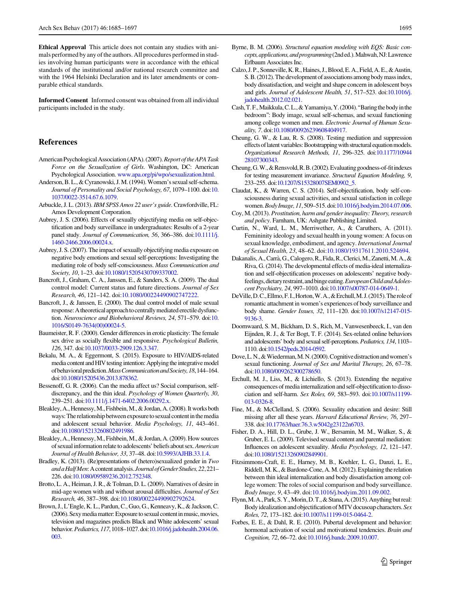<span id="page-11-0"></span>Ethical Approval This article does not contain any studies with animals performed by any of the authors. All procedures performed in studies involving human participants were in accordance with the ethical standards of the institutional and/or national research committee and with the 1964 Helsinki Declaration and its later amendments or comparable ethical standards.

Informed Consent Informed consent was obtained from all individual participants included in the study.

#### References

- American Psychological Association (APA). (2007). Report of the APA Task Force on the Sexualization of Girls. Washington, DC: American Psychological Association. [www.apa.org/pi/wpo/sexualization.html](http://www.apa.org/pi/wpo/sexualization.html).
- Anderson, B. L., & Cyranowski, J.M. (1994).Women's sexual self-schema. Journal of Personality and Social Psychology, 67, 1079–1100. doi[:10.](http://dx.doi.org/10.1037/0022-3514.67.6.1079) [1037/0022-3514.67.6.1079.](http://dx.doi.org/10.1037/0022-3514.67.6.1079)
- Arbuckle, J. L. (2013). IBM SPSS Amos 22 user's guide. Crawfordville, FL: Amos Development Corporation.
- Aubrey, J. S. (2006). Effects of sexually objectifying media on self-objectification and body surveillance in undergraduates: Results of a 2-year panel study. Journal of Communication, 56, 366-386. doi[:10.1111/j.](http://dx.doi.org/10.1111/j.1460-2466.2006.00024.x) [1460-2466.2006.00024.x.](http://dx.doi.org/10.1111/j.1460-2466.2006.00024.x)
- Aubrey, J. S. (2007). The impact of sexually objectifying media exposure on negative body emotions and sexual self-perceptions: Investigating the mediating role of body self-consciousness. Mass Communication and Society, 10, 1–23. doi[:10.1080/15205430709337002.](http://dx.doi.org/10.1080/15205430709337002)
- Bancroft, J., Graham, C. A., Janssen, E., & Sanders, S. A. (2009). The dual control model: Current status and future directions. Journal of Sex Research, 46, 121–142. doi:[10.1080/00224490902747222.](http://dx.doi.org/10.1080/00224490902747222)
- Bancroft, J., & Janssen, E. (2000). The dual control model of male sexual response: A theoretical approach to centrally mediated erectile dysfunction. Neuroscience and Biobehavioral Reviews, 24, 571–579. doi[:10.](http://dx.doi.org/10.1016/S0149-7634(00)00024-5) [1016/S0149-7634\(00\)00024-5](http://dx.doi.org/10.1016/S0149-7634(00)00024-5).
- Baumeister, R. F. (2000). Gender differences in erotic plasticity: The female sex drive as socially flexible and responsive. Psychological Bulletin, 126, 347. doi:[10.1037/0033-2909.126.3.347](http://dx.doi.org/10.1037/0033-2909.126.3.347).
- Bekalu, M. A., & Eggermont, S. (2015). Exposure to HIV/AIDS-related media content and HIV testing intention: Applying the integrative model of behavioral prediction. Mass Communication and Society, 18, 144-164. doi[:10.1080/15205436.2013.878362.](http://dx.doi.org/10.1080/15205436.2013.878362)
- Bessenoff, G. R. (2006). Can the media affect us? Social comparison, selfdiscrepancy, and the thin ideal. Psychology of Women Quarterly, 30, 239–251. doi[:10.1111/j.1471-6402.2006.00292.x.](http://dx.doi.org/10.1111/j.1471-6402.2006.00292.x)
- Bleakley, A., Hennessy,M., Fishbein,M., & Jordan, A. (2008). It works both ways: The relationship between exposure to sexual content in the media and adolescent sexual behavior. Media Psychology, 11, 443–461. doi[:10.1080/15213260802491986.](http://dx.doi.org/10.1080/15213260802491986)
- Bleakley, A., Hennessy,M., Fishbein,M., & Jordan, A. (2009). How sources of sexual information relate to adolescents' beliefs about sex. American Journal of Health Behavior, 33, 37–48. doi[:10.5993/AJHB.33.1.4.](http://dx.doi.org/10.5993/AJHB.33.1.4)
- Bradley, K. (2013). (Re)presentations of (hetero)sexualized gender in Two and a Half Men: A content analysis. Journal of Gender Studies, 22, 221-226. doi[:10.1080/09589236.2012.752348](http://dx.doi.org/10.1080/09589236.2012.752348).
- Brotto, L. A., Heiman, J. R., & Tolman, D. L. (2009). Narratives of desire in mid-age women with and without arousal difficulties. Journal of Sex Research, 46, 387–398. doi[:10.1080/00224490902792624.](http://dx.doi.org/10.1080/00224490902792624)
- Brown, J., L'Engle, K. L., Pardun, C., Guo, G., Kenneavy, K., & Jackson, C. (2006). Sexy media matter: Exposure to sexual content in music, movies, television and magazines predicts Black and White adolescents' sexual behavior.Pediatrics,117,1018–1027.doi[:10.1016/j.jadohealth.2004.06.](http://dx.doi.org/10.1016/j.jadohealth.2004.06.003) [003.](http://dx.doi.org/10.1016/j.jadohealth.2004.06.003)
- Byrne, B. M. (2006). Structural equation modeling with EQS: Basic concepts, applications, and programming (2nded.). Mahwah, NJ: Lawrence Erlbaum Associates Inc.
- Calzo, J. P., Sonneville, K.R., Haines, J.,Blood, E. A., Field, A. E., & Austin, S.B. (2012). The development of associations among bodymassindex, body dissatisfaction, and weight and shape concern in adolescent boys and girls. Journal of Adolescent Health, 51, 517–523. doi[:10.1016/j.](http://dx.doi.org/10.1016/j.jadohealth.2012.02.021) [jadohealth.2012.02.021](http://dx.doi.org/10.1016/j.jadohealth.2012.02.021).
- Cash,T. F.,Maikkula,C.L.,&Yamamiya,Y. (2004).''Baringthe bodyinthe bedroom'': Body image, sexual self-schemas, and sexual functioning among college women and men. Electronic Journal of Human Sexuality, 7. doi:[10.1080/00926239608404917](http://dx.doi.org/10.1080/00926239608404917).
- Cheung, G. W., & Lau, R. S. (2008). Testing mediation and suppression effects of latent variables: Bootstrapping with structural equation models. Organizational Research Methods, 11, 296–325. doi[:10.1177/10944](http://dx.doi.org/10.1177/1094428107300343) [28107300343](http://dx.doi.org/10.1177/1094428107300343).
- Cheung, G.W., & Rensvold, R.B. (2002). Evaluating goodness-of-fit indexes for testing measurement invariance. Structural Equation Modeling, 9, 233–255. doi[:10.1207/S15328007SEM0902\\_5](http://dx.doi.org/10.1207/S15328007SEM0902_5).
- Claudat, K., & Warren, C. S. (2014). Self-objectification, body self-consciousness during sexual activities, and sexual satisfaction in college women.Body Image, 11, 509–515. doi[:10.1016/j.bodyim.2014.07.006](http://dx.doi.org/10.1016/j.bodyim.2014.07.006).
- Coy, M. (2013). Prostitution, harm and gender inequality: Theory, research and policy. Farnham, UK: Ashgate Publishing Limited.
- Curtin, N., Ward, L. M., Merriwether, A., & Caruthers, A. (2011). Femininity ideology and sexual health in young women: A focus on sexual knowledge, embodiment, and agency. International Journal of Sexual Health, 23, 48–62. doi:[10.1080/19317611.2010.524694.](http://dx.doi.org/10.1080/19317611.2010.524694)
- Dakanalis, A.,Carra`, G.,Calogero,R., Fida,R.,Clerici,M., Zanetti,M. A.,& Riva, G. (2014). The developmental effects of media-ideal internalization and self-objectification processes on adolescents' negative bodyfeelings, dietary restraint, and binge eating. European Child and Adolescent Psychiatry, 24, 997–1010. doi[:10.1007/s00787-014-0649-1.](http://dx.doi.org/10.1007/s00787-014-0649-1)
- DeVille,D.C.,Ellmo,F. I.,Horton,W.A.,&Erchull,M. J. (2015).The roleof romantic attachment in women's experiences of body surveillance and body shame. Gender Issues, 32, 111–120. doi[:10.1007/s12147-015-](http://dx.doi.org/10.1007/s12147-015-9136-3) [9136-3.](http://dx.doi.org/10.1007/s12147-015-9136-3)
- Doornwaard, S. M., Bickham, D. S., Rich, M., Vanwesenbeeck, I., van den Eijnden, R. J., & Ter Bogt, T. F. (2014). Sex-related online behaviors and adolescents' body and sexual self-perceptions. Pediatrics, 134, 1103-1110. doi[:10.1542/peds.2014-0592](http://dx.doi.org/10.1542/peds.2014-0592).
- Dove,L.N.,&Wiederman,M.N. (2000).Cognitivedistractionandwomen's sexual functioning. Journal of Sex and Marital Therapy, 26, 67–78. doi[:10.1080/009262300278650.](http://dx.doi.org/10.1080/009262300278650)
- Erchull, M. J., Liss, M., & Lichiello, S. (2013). Extending the negative consequences of media internalization and self-objectification to dissociation and self-harm. Sex Roles, 69, 583–593. doi:[10.1007/s11199-](http://dx.doi.org/10.1007/s11199-013-0326-8) [013-0326-8](http://dx.doi.org/10.1007/s11199-013-0326-8).
- Fine, M., & McClelland, S. (2006). Sexuality education and desire: Still missing after all these years. Harvard Educational Review, 76, 297– 338. doi[:10.17763/haer.76.3.w5042g23122n6703.](http://dx.doi.org/10.17763/haer.76.3.w5042g23122n6703)
- Fisher, D. A., Hill, D. L., Grube, J. W., Bersamin, M. M., Walker, S., & Gruber, E. L. (2009). Televised sexual content and parental mediation: Influences on adolescent sexuality. Media Psychology, 12, 121–147. doi[:10.1080/15213260902849901.](http://dx.doi.org/10.1080/15213260902849901)
- Fitzsimmons-Craft, E. E., Harney, M. B., Koehler, L. G., Danzi, L. E., Riddell, M. K., & Bardone-Cone, A. M. (2012). Explaining the relation between thin ideal internalization and body dissatisfaction among college women: The roles of social comparison and body surveillance. Body Image, 9, 43–49. doi[:10.1016/j.bodyim.2011.09.002.](http://dx.doi.org/10.1016/j.bodyim.2011.09.002)
- Flynn,M.A., Park, S.Y.,Morin,D.T.,& Stana,A. (2015).Anything but real: Body idealization and objectification of MTV docusoap characters. Sex Roles, 72, 173–182. doi[:10.1007/s11199-015-0464-2](http://dx.doi.org/10.1007/s11199-015-0464-2).
- Forbes, E. E., & Dahl, R. E. (2010). Pubertal development and behavior: hormonal activation of social and motivational tendencies. Brain and Cognition, 72, 66–72. doi[:10.1016/j.bandc.2009.10.007](http://dx.doi.org/10.1016/j.bandc.2009.10.007).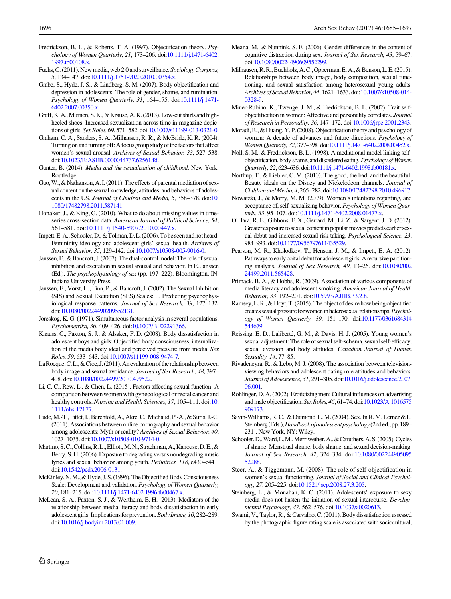- <span id="page-12-0"></span>Fredrickson, B. L., & Roberts, T. A. (1997). Objectification theory. Psychology of Women Quarterly, 21, 173–206. doi:[10.1111/j.1471-6402.](http://dx.doi.org/10.1111/j.1471-6402.1997.tb00108.x) [1997.tb00108.x.](http://dx.doi.org/10.1111/j.1471-6402.1997.tb00108.x)
- Fuchs, C. (2011). New media, web 2.0 and surveillance. Sociology Compass, 5, 134–147. doi:[10.1111/j.1751-9020.2010.00354.x](http://dx.doi.org/10.1111/j.1751-9020.2010.00354.x).
- Grabe, S., Hyde, J. S., & Lindberg, S. M. (2007). Body objectification and depression in adolescents: The role of gender, shame, and rumination. Psychology of Women Quarterly, 31, 164–175. doi:[10.1111/j.1471-](http://dx.doi.org/10.1111/j.1471-6402.2007.00350.x) [6402.2007.00350.x](http://dx.doi.org/10.1111/j.1471-6402.2007.00350.x).
- Graff,K.A.,Murnen, S.K.,&Krause,A.K. (2013). Low-cut shirts and highheeled shoes: Increased sexualization across time in magazine depictions of girls.SexRoles, 69, 571–582. doi:[10.1007/s11199-013-0321-0](http://dx.doi.org/10.1007/s11199-013-0321-0).
- Graham, C. A., Sanders, S. A., Milhausen, R. R., & McBride, K. R. (2004). Turning on and turning off: A focus group study of the factors that affect women's sexual arousal. Archives of Sexual Behavior, 33, 527–538. doi[:10.1023/B:ASEB.0000044737.62561.fd](http://dx.doi.org/10.1023/B:ASEB.0000044737.62561.fd).
- Gunter, B. (2014). Media and the sexualization of childhood. New York: Routledge.
- Guo, W., & Nathanson, A. I. (2011). The effects of parental mediation of sexual content on the sexual knowledge, attitudes, and behaviors of adolescents in the US. Journal of Children and Media, 5, 358–378. doi[:10.](http://dx.doi.org/10.1080/17482798.2011.587141) [1080/17482798.2011.587141](http://dx.doi.org/10.1080/17482798.2011.587141).
- Honaker, J., & King, G. (2010). What to do about missing values in timeseries cross-section data. American Journal of Political Science, 54, 561–581. doi:[10.1111/j.1540-5907.2010.00447.x.](http://dx.doi.org/10.1111/j.1540-5907.2010.00447.x)
- Impett, E. A., Schooler, D., & Tolman, D. L. (2006). To be seen and not heard: Femininity ideology and adolescent girls' sexual health. Archives of Sexual Behavior, 35, 129–142. doi[:10.1007/s10508-005-9016-0.](http://dx.doi.org/10.1007/s10508-005-9016-0)
- Janssen, E., & Bancroft, J. (2007). The dual-control model: The role of sexual inhibition and excitation in sexual arousal and behavior. In E. Janssen (Ed.), The psychophysiology of sex (pp. 197–222). Bloomington, IN: Indiana University Press.
- Janssen, E., Vorst, H., Finn, P., & Bancroft, J. (2002). The Sexual Inhibition (SIS) and Sexual Excitation (SES) Scales: II. Predicting psychophysiological response patterns. Journal of Sex Research, 39, 127–132. doi[:10.1080/00224490209552131.](http://dx.doi.org/10.1080/00224490209552131)
- Jöreskog, K. G. (1971). Simultaneous factor analysis in several populations. Psychometrika, 36, 409–426. doi[:10.1007/BF02291366.](http://dx.doi.org/10.1007/BF02291366)
- Knauss, C., Paxton, S. J., & Alsaker, F. D. (2008). Body dissatisfaction in adolescent boys and girls: Objectified body consciousness, internalization of the media body ideal and perceived pressure from media. Sex Roles, 59, 633–643. doi[:10.1007/s11199-008-9474-7](http://dx.doi.org/10.1007/s11199-008-9474-7).
- La Rocque, C.L.,  $& \text{Cioe}, \text{J}.$  (2011). An evaluation of the relationship between body image and sexual avoidance. Journal of Sex Research, 48, 397– 408. doi[:10.1080/00224499.2010.499522](http://dx.doi.org/10.1080/00224499.2010.499522).
- Li, C. C., Rew, L., & Chen, L. (2015). Factors affecting sexual function: A comparison between women with gynecological or rectal cancer and healthy controls. Nursing and Health Sciences, 17, 105-111. doi:[10.](http://dx.doi.org/10.1111/nhs.12177) [1111/nhs.12177](http://dx.doi.org/10.1111/nhs.12177).
- Lude,M.-T., Pittet, I., Berchtold, A., Akre, C.,Michaud, P.-A., & Suris, J.-C. (2011). Associations between online pornography and sexual behavior among adolescents: Myth or reality? Archives of Sexual Behavior, 40, 1027–1035. doi[:10.1007/s10508-010-9714-0](http://dx.doi.org/10.1007/s10508-010-9714-0).
- Martino, S.C.,Collins,R.L.,Elliott,M.N.,Strachman,A.,Kanouse,D.E.,& Berry, S. H. (2006). Exposure to degrading versus nondegrading music lyrics and sexual behavior among youth. Pediatrics, 118, e430–e441. doi[:10.1542/peds.2006-0131.](http://dx.doi.org/10.1542/peds.2006-0131)
- McKinley, N. M., & Hyde, J. S. (1996). The Objectified Body Consciousness Scale: Development and validation. Psychology of Women Quarterly, 20, 181–215. doi:[10.1111/j.1471-6402.1996.tb00467.x](http://dx.doi.org/10.1111/j.1471-6402.1996.tb00467.x).
- McLean, S. A., Paxton, S. J., & Wertheim, E. H. (2013). Mediators of the relationship between media literacy and body dissatisfaction in early adolescent girls: Implications for prevention.Body Image, 10, 282–289. doi[:10.1016/j.bodyim.2013.01.009.](http://dx.doi.org/10.1016/j.bodyim.2013.01.009)
- Meana, M., & Nunnink, S. E. (2006). Gender differences in the content of cognitive distraction during sex. Journal of Sex Research, 43, 59–67. doi[:10.1080/00224490609552299.](http://dx.doi.org/10.1080/00224490609552299)
- Milhausen,R.R.,Buchholz,A.C.,Opperman,E.A.,&Benson,L.E. (2015). Relationships between body image, body composition, sexual functioning, and sexual satisfaction among heterosexual young adults. Archives of Sexual Behavior, 44, 1621-1633, doi[:10.1007/s10508-014-](http://dx.doi.org/10.1007/s10508-014-0328-9) [0328-9.](http://dx.doi.org/10.1007/s10508-014-0328-9)
- Miner-Rubino, K., Twenge, J. M., & Fredrickson, B. L. (2002). Trait selfobjectification in women: Affective and personality correlates. Journal of Research in Personality, 36, 147–172. doi[:10.1006/jrpe.2001.2343.](http://dx.doi.org/10.1006/jrpe.2001.2343)
- Moradi, B., & Huang, Y. P. (2008). Objectification theory and psychology of women: A decade of advances and future directions. Psychology of Women Quarterly, 32, 377–398. doi[:10.1111/j.1471-6402.2008.00452.x.](http://dx.doi.org/10.1111/j.1471-6402.2008.00452.x)
- Noll, S. M., & Fredrickson, B. L. (1998). A mediational model linking selfobjectification, body shame, and disordered eating. Psychology of Women Quarterly, 22, 623–636. doi[:10.1111/j.1471-6402.1998.tb00181.x](http://dx.doi.org/10.1111/j.1471-6402.1998.tb00181.x).
- Northup, T., & Liebler, C. M. (2010). The good, the bad, and the beautiful: Beauty ideals on the Disney and Nickelodeon channels. Journal of Children andMedia,4, 265–282. doi[:10.1080/17482798.2010.496917](http://dx.doi.org/10.1080/17482798.2010.496917).
- Nowatzki, J., & Morry, M. M. (2009). Women's intentions regarding, and acceptance of, self-sexualizing behavior. Psychology of Women Quar-terly, 33, 95-107. doi:[10.1111/j.1471-6402.2008.01477.x](http://dx.doi.org/10.1111/j.1471-6402.2008.01477.x).
- O'Hara, R. E., Gibbons, F. X., Gerrard, M., Li, Z., & Sargent, J. D. (2012). Greater exposure to sexual content in popular movies predicts earlier sexual debut and increased sexual risk taking. Psychological Science, 23, 984–993. doi[:10.1177/0956797611435529](http://dx.doi.org/10.1177/0956797611435529).
- Pearson, M. R., Kholodkov, T., Henson, J. M., & Impett, E. A. (2012). Pathways to early coital debut for adolescent girls: A recursive partitioning analysis. Journal of Sex Research, 49, 13–26. doi[:10.1080/002](http://dx.doi.org/10.1080/00224499.2011.565428) [24499.2011.565428.](http://dx.doi.org/10.1080/00224499.2011.565428)
- Primack, B. A., & Hobbs, R. (2009). Association of various components of media literacy and adolescent smoking. American Journal of Health Behavior, 33, 192–201. doi:[10.5993/AJHB.33.2.8.](http://dx.doi.org/10.5993/AJHB.33.2.8)
- Ramsey, L. R., & Hoyt, T. (2015). The object of desire how being objectified creates sexual pressure for women in heterosexual relationships. Psychology of Women Quarterly, 39, 151–170. doi[:10.1177/0361684314](http://dx.doi.org/10.1177/0361684314544679) [544679.](http://dx.doi.org/10.1177/0361684314544679)
- Reissing, E. D., Laliberté, G. M., & Davis, H. J. (2005). Young women's sexual adjustment: The role of sexual self-schema, sexual self-efficacy, sexual aversion and body attitudes. Canadian Journal of Human Sexuality, 14, 77–85.
- Rivadeneyra, R., & Lebo, M. J. (2008). The association between televisionviewing behaviors and adolescent dating role attitudes and behaviors. Journal of Adolescence, 31, 291–305. doi[:10.1016/j.adolescence.2007.](http://dx.doi.org/10.1016/j.adolescence.2007.06.001) [06.001.](http://dx.doi.org/10.1016/j.adolescence.2007.06.001)
- Rohlinger, D. A. (2002). Eroticizing men: Cultural influences on advertising andmale objectification.SexRoles, 46, 61–74. doi[:10.1023/A:1016575](http://dx.doi.org/10.1023/A:1016575909173) [909173](http://dx.doi.org/10.1023/A:1016575909173).
- Savin-Williams, R. C., & Diamond, L. M. (2004). Sex. In R. M. Lerner & L. Steinberg (Eds.), Handbook of adolescent psychology (2nd ed., pp. 189– 231). New York, NY: Wiley.
- Schooler,D.,Ward,L.M.,Merriwether,A.,&Caruthers,A.S. (2005).Cycles of shame: Menstrual shame, body shame, and sexual decision-making. Journal of Sex Research, 42, 324–334. doi[:10.1080/002244905095](http://dx.doi.org/10.1080/00224490509552288) [52288](http://dx.doi.org/10.1080/00224490509552288)
- Steer, A., & Tiggemann, M. (2008). The role of self-objectification in women's sexual functioning. Journal of Social and Clinical Psychology, 27, 205–225. doi[:10.1521/jscp.2008.27.3.205.](http://dx.doi.org/10.1521/jscp.2008.27.3.205)
- Steinberg, L., & Monahan, K. C. (2011). Adolescents' exposure to sexy media does not hasten the initiation of sexual intercourse. Developmental Psychology, 47, 562–576. doi[:10.1037/a0020613.](http://dx.doi.org/10.1037/a0020613)
- Swami, V., Taylor, R., & Carvalho, C. (2011). Body dissatisfaction assessed by the photographic figure rating scale is associated with sociocultural,